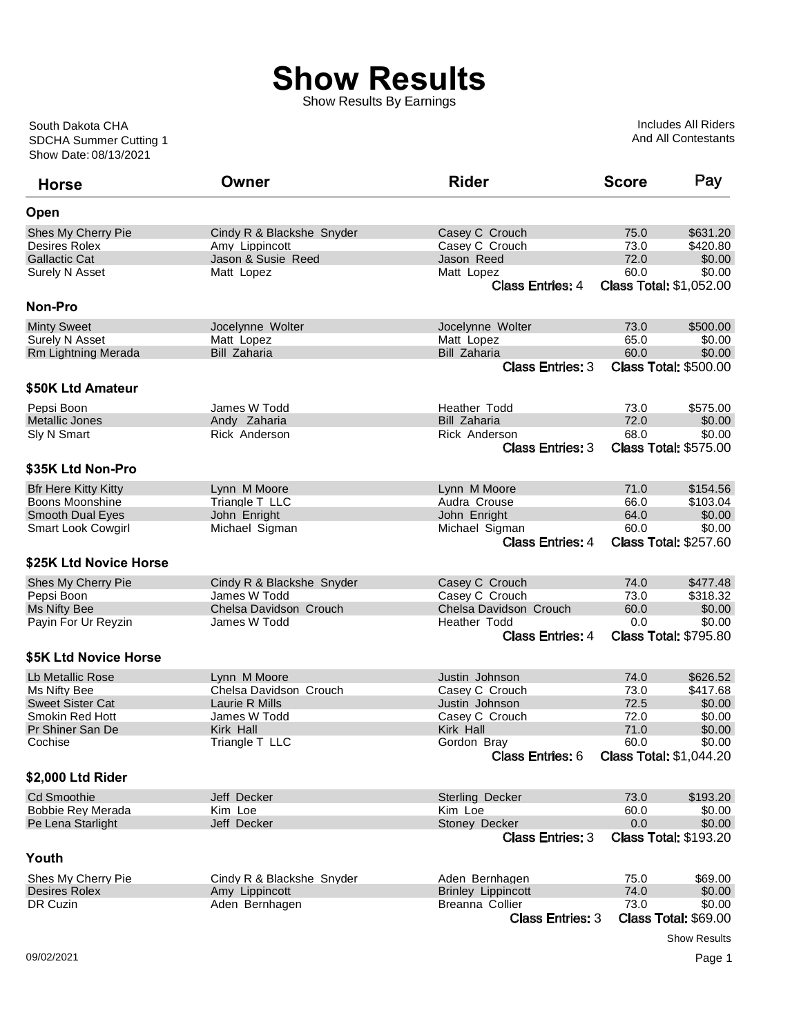## **Show Results**

Show Results By Earnings

Show Date: 08/13/2021 SDCHA Summer Cutting 1 South Dakota CHA

Includes All Riders And All Contestants

| <b>Horse</b>                | Owner                     | <b>Rider</b>                            | <b>Score</b>                   | Pay                                    |
|-----------------------------|---------------------------|-----------------------------------------|--------------------------------|----------------------------------------|
| Open                        |                           |                                         |                                |                                        |
| Shes My Cherry Pie          | Cindy R & Blackshe Snyder | Casey C Crouch                          | 75.0                           | \$631.20                               |
| Desires Rolex               | Amy Lippincott            | Casey C Crouch                          | 73.0                           | \$420.80                               |
| <b>Gallactic Cat</b>        | Jason & Susie Reed        | Jason Reed                              | 72.0                           | \$0.00                                 |
| Surely N Asset              | Matt Lopez                | Matt Lopez                              | 60.0                           | \$0.00                                 |
|                             |                           | <b>Class Entries: 4</b>                 | <b>Class Total: \$1,052.00</b> |                                        |
| <b>Non-Pro</b>              |                           |                                         |                                |                                        |
| <b>Minty Sweet</b>          | Jocelynne Wolter          | Jocelynne Wolter                        | 73.0                           | \$500.00                               |
| Surely N Asset              | Matt Lopez                | Matt Lopez                              | 65.0                           | \$0.00                                 |
| Rm Lightning Merada         | Bill Zaharia              | Bill Zaharia                            | 60.0                           | \$0.00                                 |
|                             |                           | <b>Class Entries: 3</b>                 |                                | <b>Class Total: \$500.00</b>           |
| \$50K Ltd Amateur           |                           |                                         |                                |                                        |
| Pepsi Boon                  | James W Todd              | <b>Heather Todd</b>                     | 73.0                           | \$575.00                               |
| <b>Metallic Jones</b>       | Andy Zaharia              | <b>Bill Zaharia</b>                     | 72.0                           | \$0.00                                 |
| Sly N Smart                 | Rick Anderson             | Rick Anderson                           | 68.0                           | \$0.00                                 |
|                             |                           | <b>Class Entries: 3</b>                 |                                | <b>Class Total: \$575.00</b>           |
| \$35K Ltd Non-Pro           |                           |                                         |                                |                                        |
| <b>Bfr Here Kitty Kitty</b> | Lynn M Moore              | Lynn M Moore                            | 71.0                           | \$154.56                               |
| Boons Moonshine             | Triangle T LLC            | Audra Crouse                            | 66.0                           | \$103.04                               |
| <b>Smooth Dual Eyes</b>     | John Enright              | John Enright                            | 64.0                           | \$0.00                                 |
| <b>Smart Look Cowgirl</b>   | Michael Sigman            | Michael Sigman                          | 60.0                           | \$0.00                                 |
|                             |                           | <b>Class Entries: 4</b>                 |                                | <b>Class Total: \$257.60</b>           |
| \$25K Ltd Novice Horse      |                           |                                         |                                |                                        |
| Shes My Cherry Pie          | Cindy R & Blackshe Snyder | Casey C Crouch                          | 74.0                           | \$477.48                               |
| Pepsi Boon                  | James W Todd              | Casey C Crouch                          | 73.0                           | \$318.32                               |
| Ms Nifty Bee                | Chelsa Davidson Crouch    | Chelsa Davidson Crouch                  | 60.0                           | \$0.00                                 |
| Payin For Ur Reyzin         | James W Todd              | Heather Todd<br><b>Class Entries: 4</b> | 0.0                            | \$0.00<br><b>Class Total: \$795.80</b> |
| \$5K Ltd Novice Horse       |                           |                                         |                                |                                        |
| Lb Metallic Rose            | Lynn M Moore              | Justin Johnson                          | 74.0                           | \$626.52                               |
| Ms Nifty Bee                | Chelsa Davidson Crouch    | Casey C Crouch                          | 73.0                           | \$417.68                               |
| <b>Sweet Sister Cat</b>     | Laurie R Mills            | Justin Johnson                          | 72.5                           | \$0.00                                 |
| Smokin Red Hott             | James W Todd              | Casey C Crouch                          | 72.0                           | \$0.00                                 |
| Pr Shiner San De            | Kirk Hall                 | Kirk Hall                               | 71.0                           | \$0.00                                 |
| Cochise                     | Triangle T LLC            | Gordon Bray                             | 60.0                           | \$0.00                                 |
|                             |                           | <b>Class Entries: 6</b>                 | <b>Class Total: \$1,044.20</b> |                                        |
| \$2,000 Ltd Rider           |                           |                                         |                                |                                        |
| <b>Cd Smoothie</b>          | Jeff Decker               | Sterling Decker                         | 73.0                           | \$193.20                               |
| <b>Bobbie Rey Merada</b>    | Kim Loe                   | Kim Loe                                 | 60.0                           | \$0.00                                 |
| Pe Lena Starlight           | Jeff Decker               | Stoney Decker                           | 0.0                            | \$0.00                                 |
|                             |                           | <b>Class Entries: 3</b>                 |                                | <b>Class Total: \$193.20</b>           |
| Youth                       |                           |                                         |                                |                                        |
| Shes My Cherry Pie          | Cindy R & Blackshe Snyder | Aden Bernhagen                          | 75.0                           | \$69.00                                |
| <b>Desires Rolex</b>        | Amy Lippincott            | <b>Brinley Lippincott</b>               | 74.0                           | \$0.00                                 |
| DR Cuzin                    | Aden Bernhagen            | Breanna Collier                         | 73.0                           | \$0.00                                 |
|                             |                           | <b>Class Entries: 3</b>                 |                                | <b>Class Total: \$69.00</b>            |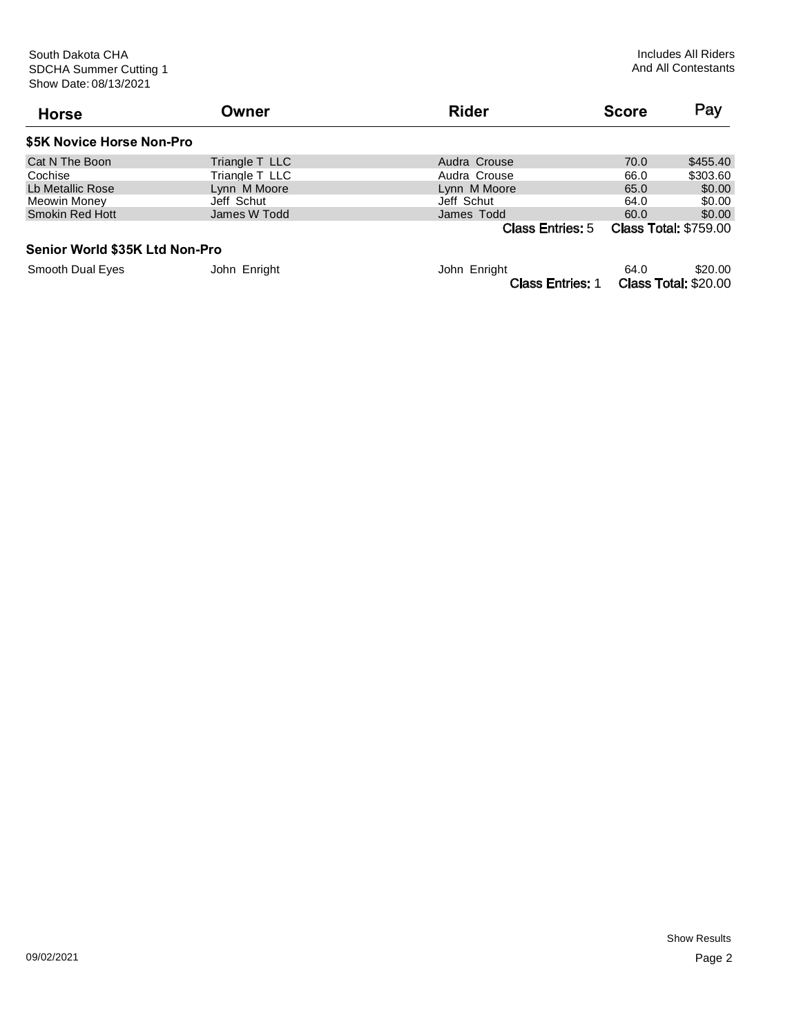Class Entries: 1 Class Total: \$20.00

| <b>Horse</b>                   | Owner           | <b>Rider</b>            | <b>Score</b> | Pay                          |
|--------------------------------|-----------------|-------------------------|--------------|------------------------------|
| \$5K Novice Horse Non-Pro      |                 |                         |              |                              |
| Cat N The Boon                 | Triangle T LLC  | Audra Crouse            | 70.0         | \$455.40                     |
| Cochise                        | Triangle T_LLC_ | Audra Crouse            | 66.0         | \$303.60                     |
| Lb Metallic Rose               | Lynn M Moore    | Lynn M Moore            | 65.0         | \$0.00                       |
| Meowin Money                   | Jeff Schut      | Jeff Schut              | 64.0         | \$0.00                       |
| <b>Smokin Red Hott</b>         | James W Todd    | James Todd              | 60.0         | \$0.00                       |
|                                |                 | <b>Class Entries: 5</b> |              | <b>Class Total: \$759.00</b> |
| Senior World \$35K Ltd Non-Pro |                 |                         |              |                              |
| <b>Smooth Dual Eyes</b>        | John Enright    | John Enright            | 64.0         | \$20.00                      |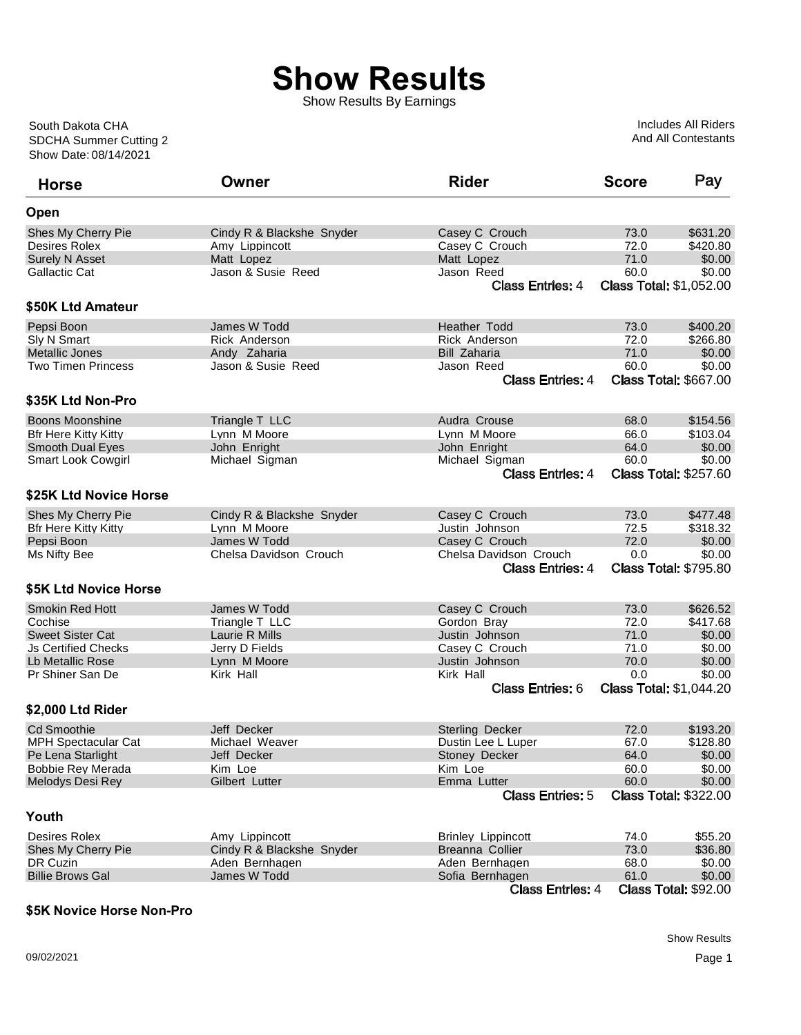## **Show Results**

Show Results By Earnings

Show Date: 08/14/2021 SDCHA Summer Cutting 2 South Dakota CHA

Includes All Riders And All Contestants

| <b>Horse</b>                | Owner                     | <b>Rider</b>              | <b>Score</b> | Pay                            |
|-----------------------------|---------------------------|---------------------------|--------------|--------------------------------|
| Open                        |                           |                           |              |                                |
| Shes My Cherry Pie          | Cindy R & Blackshe Snyder | Casey C Crouch            | 73.0         | \$631.20                       |
| Desires Rolex               | Amy Lippincott            | Casey C Crouch            | 72.0         | \$420.80                       |
| <b>Surely N Asset</b>       | Matt Lopez                | Matt Lopez                | 71.0         | \$0.00                         |
| <b>Gallactic Cat</b>        | Jason & Susie Reed        | Jason Reed                | 60.0         | \$0.00                         |
|                             |                           | <b>Class Entries: 4</b>   |              | <b>Class Total: \$1,052.00</b> |
| \$50K Ltd Amateur           |                           |                           |              |                                |
| Pepsi Boon                  | James W Todd              | Heather Todd              | 73.0         | \$400.20                       |
| Sly N Smart                 | Rick Anderson             | Rick Anderson             | 72.0         | \$266.80                       |
| Metallic Jones              | Andy Zaharia              | <b>Bill Zaharia</b>       | 71.0         | \$0.00                         |
| <b>Two Timen Princess</b>   | Jason & Susie Reed        | Jason Reed                | 60.0         | \$0.00                         |
|                             |                           | <b>Class Entries: 4</b>   |              | <b>Class Total: \$667.00</b>   |
| \$35K Ltd Non-Pro           |                           |                           |              |                                |
| <b>Boons Moonshine</b>      | Triangle T LLC            | Audra Crouse              | 68.0         | \$154.56                       |
| <b>Bfr Here Kitty Kitty</b> | Lynn M Moore              | Lynn M Moore              | 66.0         | \$103.04                       |
| <b>Smooth Dual Eyes</b>     | John Enright              | John Enright              | 64.0         | \$0.00                         |
| <b>Smart Look Cowgirl</b>   | Michael Sigman            | Michael Sigman            | 60.0         | \$0.00                         |
|                             |                           | <b>Class Entries: 4</b>   |              | <b>Class Total: \$257.60</b>   |
|                             |                           |                           |              |                                |
| \$25K Ltd Novice Horse      |                           |                           |              |                                |
| Shes My Cherry Pie          | Cindy R & Blackshe Snyder | Casey C Crouch            | 73.0         | \$477.48                       |
| <b>Bfr Here Kitty Kitty</b> | Lynn M Moore              | Justin Johnson            | 72.5         | \$318.32                       |
| Pepsi Boon                  | James W Todd              | Casey C Crouch            | 72.0         | \$0.00                         |
| Ms Nifty Bee                | Chelsa Davidson Crouch    | Chelsa Davidson Crouch    | 0.0          | \$0.00                         |
|                             |                           | <b>Class Entries: 4</b>   |              | <b>Class Total: \$795.80</b>   |
| \$5K Ltd Novice Horse       |                           |                           |              |                                |
| <b>Smokin Red Hott</b>      | James W Todd              | Casey C Crouch            | 73.0         | \$626.52                       |
| Cochise                     | Triangle T LLC            | Gordon Bray               | 72.0         | \$417.68                       |
| <b>Sweet Sister Cat</b>     | Laurie R Mills            | Justin Johnson            | 71.0         | \$0.00                         |
| <b>Js Certified Checks</b>  | Jerry D Fields            | Casey C Crouch            | 71.0         | \$0.00                         |
| Lb Metallic Rose            | Lynn M Moore              | Justin Johnson            | 70.0         | \$0.00                         |
| Pr Shiner San De            | Kirk Hall                 | Kirk Hall                 | 0.0          | \$0.00                         |
|                             |                           | <b>Class Entries: 6</b>   |              | <b>Class Total: \$1,044.20</b> |
| \$2,000 Ltd Rider           |                           |                           |              |                                |
| <b>Cd Smoothie</b>          | Jeff Decker               | Sterling Decker           | 72.0         | \$193.20                       |
| <b>MPH Spectacular Cat</b>  | Michael Weaver            | Dustin Lee L Luper        | 67.0         | \$128.80                       |
| Pe Lena Starlight           | Jeff Decker               | Stoney Decker             | 64.0         | \$0.00                         |
| <b>Bobbie Rey Merada</b>    | Kim Loe                   | Kim Loe                   | 60.0         | \$0.00                         |
| Melodys Desi Rey            | Gilbert Lutter            | Emma Lutter               | 60.0         | \$0.00                         |
|                             |                           | <b>Class Entries: 5</b>   |              | <b>Class Total: \$322.00</b>   |
| Youth                       |                           |                           |              |                                |
| Desires Rolex               | Amy Lippincott            | <b>Brinley Lippincott</b> | 74.0         | \$55.20                        |
| Shes My Cherry Pie          | Cindy R & Blackshe Snyder | Breanna Collier           | 73.0         | \$36.80                        |
| DR Cuzin                    | Aden Bernhagen            | Aden Bernhagen            | 68.0         | \$0.00                         |
| <b>Billie Brows Gal</b>     | James W Todd              | Sofia Bernhagen           | 61.0         | \$0.00                         |
|                             |                           | <b>Class Entries: 4</b>   |              | <b>Class Total: \$92.00</b>    |
|                             |                           |                           |              |                                |

## **\$5K Novice Horse Non-Pro**

Show Results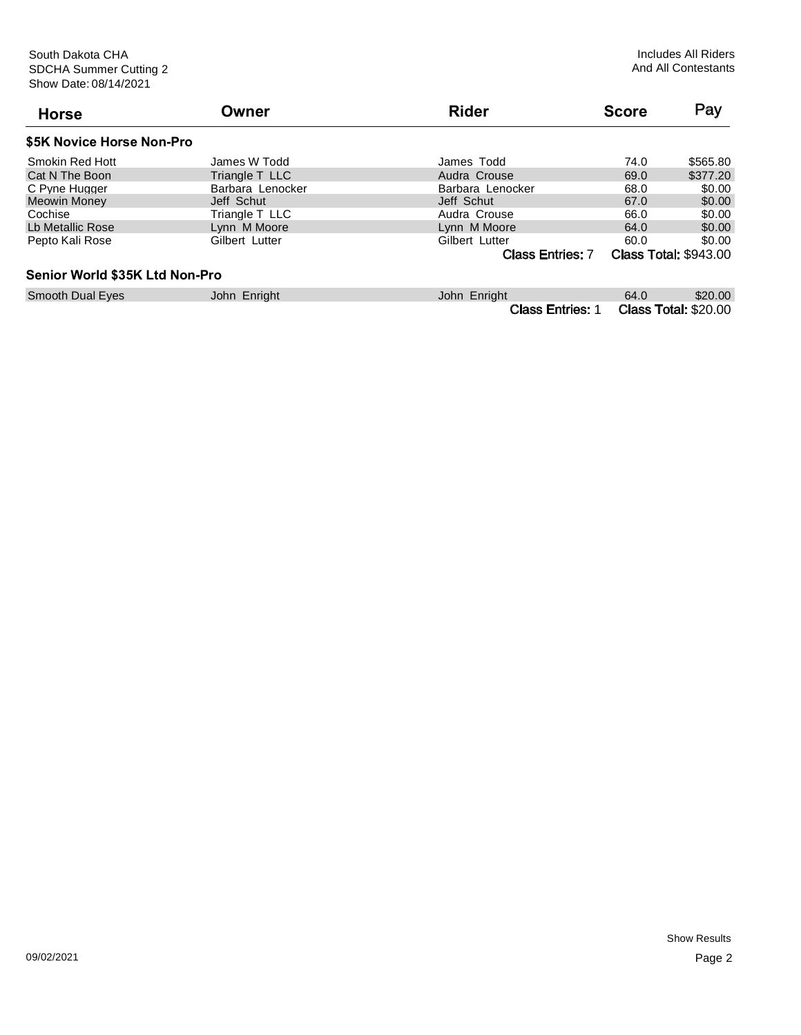| <b>Horse</b>                   | Owner            | <b>Rider</b>            | <b>Score</b> | Pay                          |
|--------------------------------|------------------|-------------------------|--------------|------------------------------|
| \$5K Novice Horse Non-Pro      |                  |                         |              |                              |
| Smokin Red Hott                | James W Todd     | James Todd              | 74.0         | \$565.80                     |
| Cat N The Boon                 | Triangle T LLC   | Audra Crouse            | 69.0         | \$377.20                     |
| C Pyne Hugger                  | Barbara Lenocker | Barbara Lenocker        | 68.0         | \$0.00                       |
| <b>Meowin Money</b>            | Jeff Schut       | Jeff Schut              | 67.0         | \$0.00                       |
| Cochise                        | Triangle T LLC   | Audra Crouse            | 66.0         | \$0.00                       |
| Lb Metallic Rose               | Lynn M Moore     | Lynn M Moore            | 64.0         | \$0.00                       |
| Pepto Kali Rose                | Gilbert Lutter   | Gilbert Lutter          | 60.0         | \$0.00                       |
|                                |                  | <b>Class Entries: 7</b> |              | <b>Class Total: \$943.00</b> |
| Senior World \$35K Ltd Non-Pro |                  |                         |              |                              |
| <b>Smooth Dual Eyes</b>        | John Enright     | John Enright            | 64.0         | \$20.00                      |
|                                |                  | <b>Class Entries: 1</b> |              | <b>Class Total: \$20.00</b>  |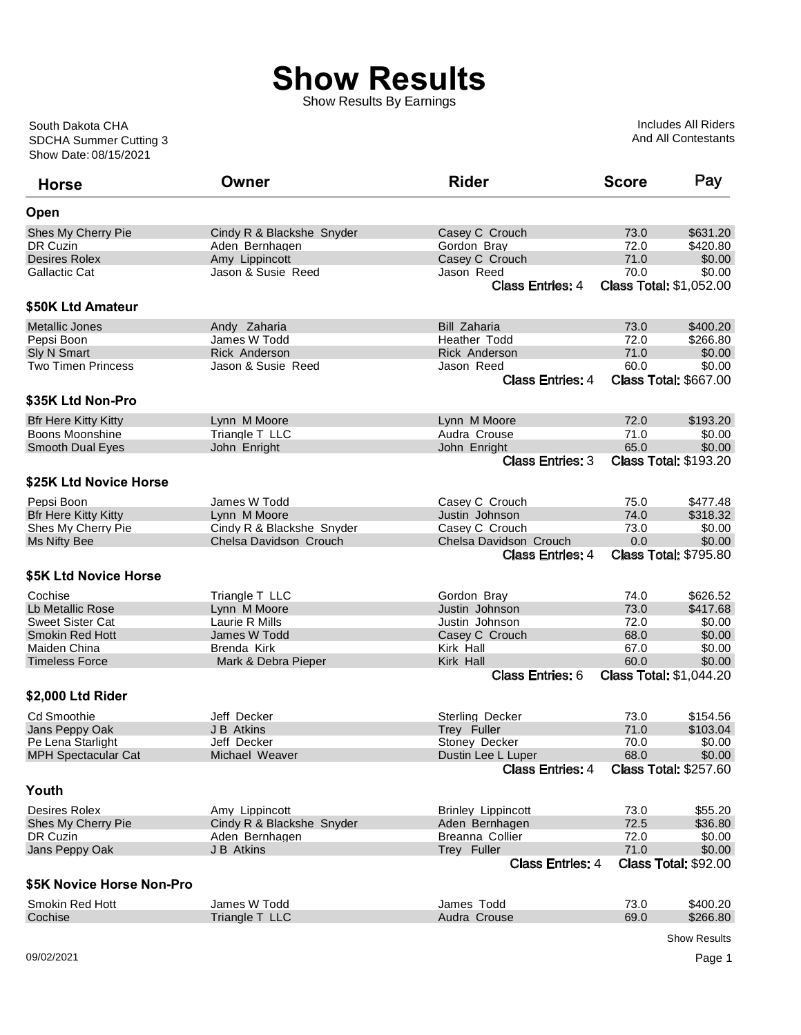## **Show Results**

Show Results By Earnings

Show Date: 08/15/2021 SDCHA Summer Cutting 3 South Dakota CHA

Includes All Riders And All Contestants

| <b>Horse</b>                | Owner                     | <b>Rider</b>              | <b>Score</b> | Pay                            |
|-----------------------------|---------------------------|---------------------------|--------------|--------------------------------|
| Open                        |                           |                           |              |                                |
| Shes My Cherry Pie          | Cindy R & Blackshe Snyder | Casey C Crouch            | 73.0         | \$631.20                       |
| <b>DR Cuzin</b>             | Aden Bernhagen            | Gordon Bray               | 72.0         | \$420.80                       |
| Desires Rolex               | Amy Lippincott            | Casey C Crouch            | 71.0         | \$0.00                         |
| Gallactic Cat               | Jason & Susie Reed        | Jason Reed                | 70.0         | \$0.00                         |
|                             |                           | <b>Class Entries: 4</b>   |              | <b>Class Total: \$1,052.00</b> |
| \$50K Ltd Amateur           |                           |                           |              |                                |
| <b>Metallic Jones</b>       | Andy Zaharia              | <b>Bill Zaharia</b>       | 73.0         | \$400.20                       |
| Pepsi Boon                  | James W Todd              | Heather Todd              | 72.0         | \$266.80                       |
| Sly N Smart                 | <b>Rick Anderson</b>      | <b>Rick Anderson</b>      | 71.0         | \$0.00                         |
| Two Timen Princess          | Jason & Susie Reed        | Jason Reed                | 60.0         | \$0.00                         |
|                             |                           | <b>Class Entries: 4</b>   |              | <b>Class Total: \$667.00</b>   |
| \$35K Ltd Non-Pro           |                           |                           |              |                                |
| <b>Bfr Here Kitty Kitty</b> | Lynn M Moore              | Lynn M Moore              | 72.0         | \$193.20                       |
| Boons Moonshine             | Triangle T LLC            | Audra Crouse              | 71.0         | \$0.00                         |
| <b>Smooth Dual Eyes</b>     | John Enright              | John Enright              | 65.0         | \$0.00                         |
|                             |                           | <b>Class Entries: 3</b>   |              | <b>Class Total: \$193.20</b>   |
| \$25K Ltd Novice Horse      |                           |                           |              |                                |
| Pepsi Boon                  | James W Todd              | Casey C Crouch            | 75.0         | \$477.48                       |
| <b>Bfr Here Kitty Kitty</b> | Lynn M Moore              | Justin Johnson            | 74.0         | \$318.32                       |
| Shes My Cherry Pie          | Cindy R & Blackshe Snyder | Casey C Crouch            | 73.0         | \$0.00                         |
| Ms Nifty Bee                | Chelsa Davidson Crouch    | Chelsa Davidson Crouch    | 0.0          | \$0.00                         |
|                             |                           | <b>Class Entries: 4</b>   |              | <b>Class Total: \$795.80</b>   |
| \$5K Ltd Novice Horse       |                           |                           |              |                                |
| Cochise                     | Triangle T LLC            | Gordon Bray               | 74.0         | \$626.52                       |
| Lb Metallic Rose            | Lynn M Moore              | Justin Johnson            | 73.0         | \$417.68                       |
| <b>Sweet Sister Cat</b>     | Laurie R Mills            | Justin Johnson            | 72.0         | \$0.00                         |
| <b>Smokin Red Hott</b>      | James W Todd              | Casey C Crouch            | 68.0         | \$0.00                         |
| Maiden China                | Brenda Kirk               | Kirk Hall                 | 67.0         | \$0.00                         |
| <b>Timeless Force</b>       | Mark & Debra Pieper       | Kirk Hall                 | 60.0         | \$0.00                         |
|                             |                           | <b>Class Entries: 6</b>   |              | <b>Class Total: \$1,044.20</b> |
| \$2,000 Ltd Rider           |                           |                           |              |                                |
| <b>Cd Smoothie</b>          | Jeff Decker               | Sterling Decker           | 73.0         | \$154.56                       |
| Jans Peppy Oak              | <b>J B Atkins</b>         | Trey Fuller               | 71.0         | \$103.04                       |
| Pe Lena Starlight           | Jeff Decker               | Stoney Decker             | 70.0         | \$0.00                         |
| <b>MPH Spectacular Cat</b>  | Michael Weaver            | Dustin Lee L Luper        | 68.0         | \$0.00                         |
|                             |                           | <b>Class Entries: 4</b>   |              | <b>Class Total: \$257.60</b>   |
| Youth                       |                           |                           |              |                                |
| Desires Rolex               | Amy Lippincott            | <b>Brinley Lippincott</b> | 73.0         | \$55.20                        |
| Shes My Cherry Pie          | Cindy R & Blackshe Snyder | Aden Bernhagen            | 72.5         | \$36.80                        |
| DR Cuzin                    | Aden Bernhagen            | Breanna Collier           | 72.0         | \$0.00                         |
| Jans Peppy Oak              | J B Atkins                | Trey Fuller               | 71.0         | \$0.00                         |
|                             |                           | <b>Class Entries: 4</b>   |              | <b>Class Total: \$92.00</b>    |
| \$5K Novice Horse Non-Pro   |                           |                           |              |                                |
| Smokin Red Hott             | James W Todd              | James Todd                | 73.0         | \$400.20                       |
| Cochise                     | Triangle T LLC            | Audra Crouse              | 69.0         | \$266.80                       |